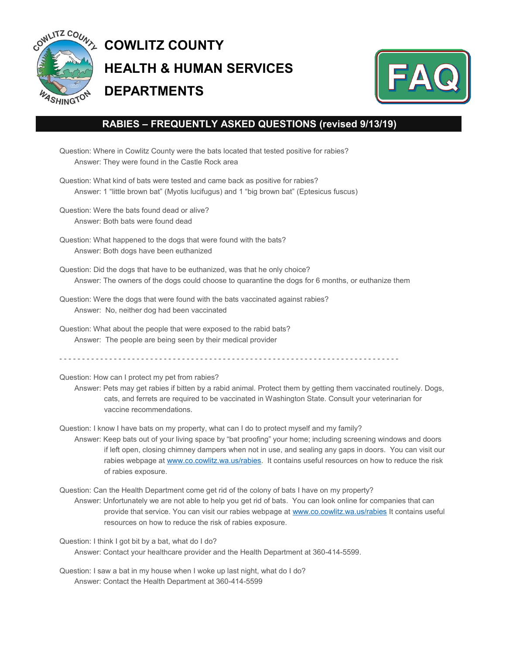

## **COWLITZ COUNTY HEALTH & HUMAN SERVICES DEPARTMENTS**



## **RABIES – FREQUENTLY ASKED QUESTIONS (revised 9/13/19)**

Question: Where in Cowlitz County were the bats located that tested positive for rabies? Answer: They were found in the Castle Rock area

Question: What kind of bats were tested and came back as positive for rabies? Answer: 1 "little brown bat" (Myotis lucifugus) and 1 "big brown bat" (Eptesicus fuscus)

Question: Were the bats found dead or alive? Answer: Both bats were found dead

Question: What happened to the dogs that were found with the bats? Answer: Both dogs have been euthanized

Question: Did the dogs that have to be euthanized, was that he only choice? Answer: The owners of the dogs could choose to quarantine the dogs for 6 months, or euthanize them

- Question: Were the dogs that were found with the bats vaccinated against rabies? Answer: No, neither dog had been vaccinated
- Question: What about the people that were exposed to the rabid bats? Answer: The people are being seen by their medical provider

- - - - - - - - - - - - - - - - - - - - - - - - - - - - - - - - - - - - - - - - - - - - - - - - - - - - - - - - - - - - - - - - - - - - - - - - - - -

Question: How can I protect my pet from rabies?

Answer: Pets may get rabies if bitten by a rabid animal. Protect them by getting them vaccinated routinely. Dogs, cats, and ferrets are required to be vaccinated in Washington State. Consult your veterinarian for vaccine recommendations.

Question: I know I have bats on my property, what can I do to protect myself and my family?

Answer: Keep bats out of your living space by "bat proofing" your home; including screening windows and doors if left open, closing chimney dampers when not in use, and sealing any gaps in doors. You can visit our rabies webpage at [www.co.cowlitz.wa.us/rabies.](http://www.co.cowlitz.wa.us/rabies) It contains useful resources on how to reduce the risk of rabies exposure.

Question: Can the Health Department come get rid of the colony of bats I have on my property? Answer: Unfortunately we are not able to help you get rid of bats. You can look online for companies that can provide that service. You can visit our rabies webpage at [www.co.cowlitz.wa.us/rabies](http://www.co.cowlitz.wa.us/rabies) It contains useful resources on how to reduce the risk of rabies exposure.

Question: I think I got bit by a bat, what do I do? Answer: Contact your healthcare provider and the Health Department at 360-414-5599.

Question: I saw a bat in my house when I woke up last night, what do I do? Answer: Contact the Health Department at 360-414-5599